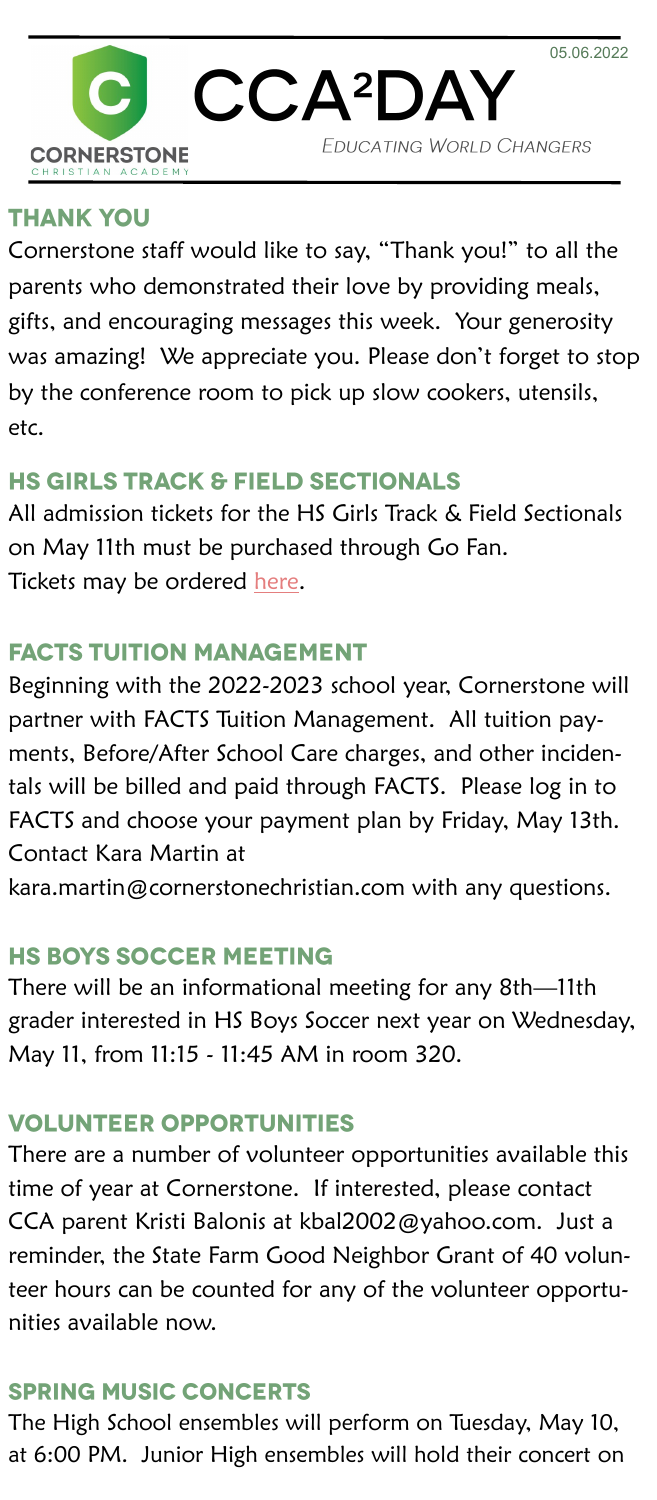

#### **THANK YOU**

Cornerstone staff would like to say, "Thank you!" to all the parents who demonstrated their love by providing meals, gifts, and encouraging messages this week. Your generosity was amazing! We appreciate you. Please don't forget to stop by the conference room to pick up slow cookers, utensils, etc.

# **HS GIRLS TRACK & FIELD SECTIONALS**

All admission tickets for the HS Girls Track & Field Sectionals on May 11th must be purchased through Go Fan. Tickets may be ordered [here.](https://gofan.co/app/events/606685?schoolId=IHSA)

#### **FACTS TUITION MANAGEMENT**

Beginning with the 2022-2023 school year, Cornerstone will partner with FACTS Tuition Management. All tuition payments, Before/After School Care charges, and other incidentals will be billed and paid through FACTS. Please log in to FACTS and choose your payment plan by Friday, May 13th. Contact Kara Martin at

kara.martin@cornerstonechristian.com with any questions.

## **HS BOYS SOCCER MEETING**

There will be an informational meeting for any 8th—11th grader interested in HS Boys Soccer next year on Wednesday, May 11, from 11:15 - 11:45 AM in room 320.

#### **VOLUNTEER OPPORTUNITIES**

There are a number of volunteer opportunities available this time of year at Cornerstone. If interested, please contact CCA parent Kristi Balonis at kbal2002@yahoo.com. Just a reminder, the State Farm Good Neighbor Grant of 40 volunteer hours can be counted for any of the volunteer opportunities available now.

## **SPRING MUSIC CONCERTS**

The High School ensembles will perform on Tuesday, May 10, at 6:00 PM. Junior High ensembles will hold their concert on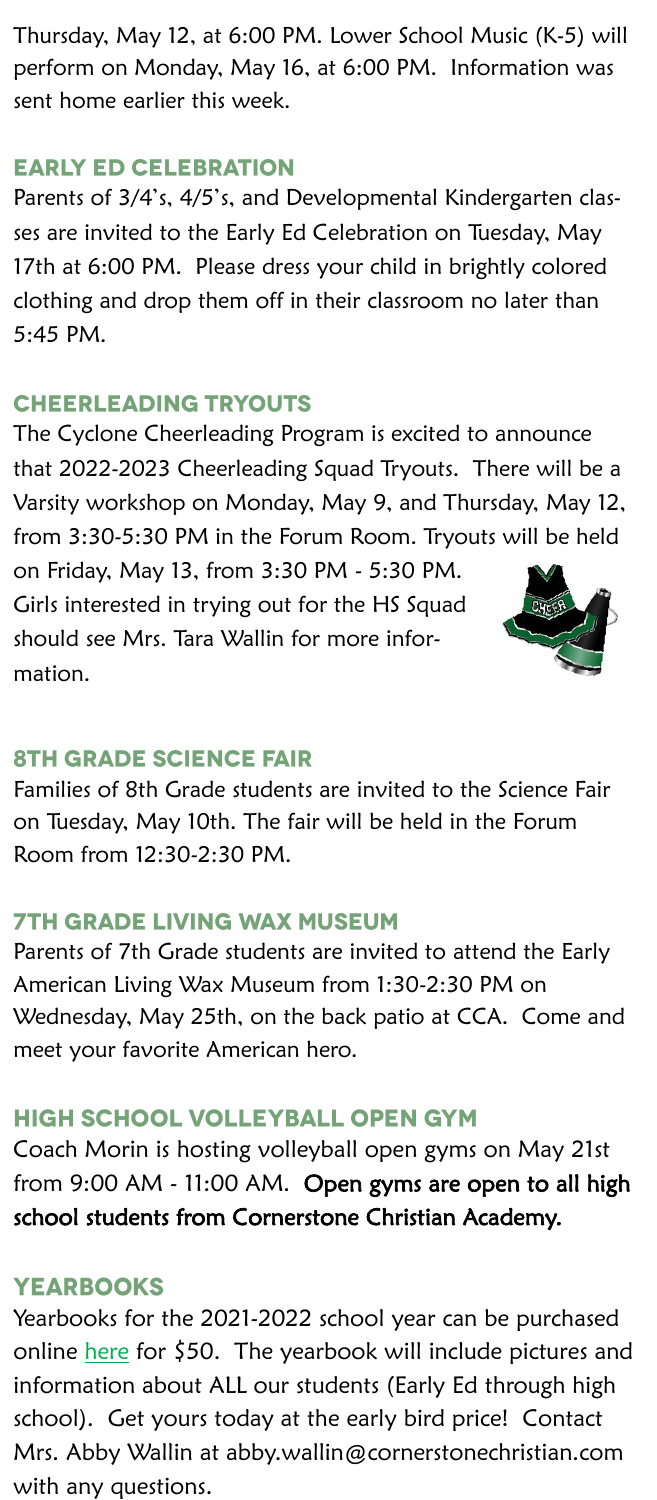Thursday, May 12, at 6:00 PM. Lower School Music (K-5) will perform on Monday, May 16, at 6:00 PM. Information was sent home earlier this week.

#### **EARLY ED CELEBRATION**

Parents of 3/4's, 4/5's, and Developmental Kindergarten classes are invited to the Early Ed Celebration on Tuesday, May 17th at 6:00 PM. Please dress your child in brightly colored clothing and drop them off in their classroom no later than 5:45 PM.

#### **CHEERLEADING TRYOUTS**

The Cyclone Cheerleading Program is excited to announce that 2022-2023 Cheerleading Squad Tryouts. There will be a Varsity workshop on Monday, May 9, and Thursday, May 12, from 3:30-5:30 PM in the Forum Room. Tryouts will be held

on Friday, May 13, from 3:30 PM - 5:30 PM. Girls interested in trying out for the HS Squad should see Mrs. Tara Wallin for more information.



#### **8TH GRADE SCIENCE FAIR**

Families of 8th Grade students are invited to the Science Fair on Tuesday, May 10th. The fair will be held in the Forum Room from 12:30-2:30 PM.

#### **7TH GRADE LIVING WAX MUSEUM**

Parents of 7th Grade students are invited to attend the Early American Living Wax Museum from 1:30-2:30 PM on Wednesday, May 25th, on the back patio at CCA. Come and meet your favorite American hero.

#### HIGH SCHOOL VOLLEYBALL OPEN GYM

Coach Morin is hosting volleyball open gyms on May 21st from 9:00 AM - 11:00 AM. Open gyms are open to all high school students from Cornerstone Christian Academy.

#### **YEARBOOKS**

Yearbooks for the 2021-2022 school year can be purchased online [here](https://www.jostens.com/apps/store/productBrowse/1526130/CORNERSTONE-CHRISTIAN-ACADEMY/2022-Yearbook/2022011413300700062/CATALOG_SHOP) for \$50. The yearbook will include pictures and information about ALL our students (Early Ed through high school). Get yours today at the early bird price! Contact Mrs. Abby Wallin at abby.wallin@cornerstonechristian.com with any questions.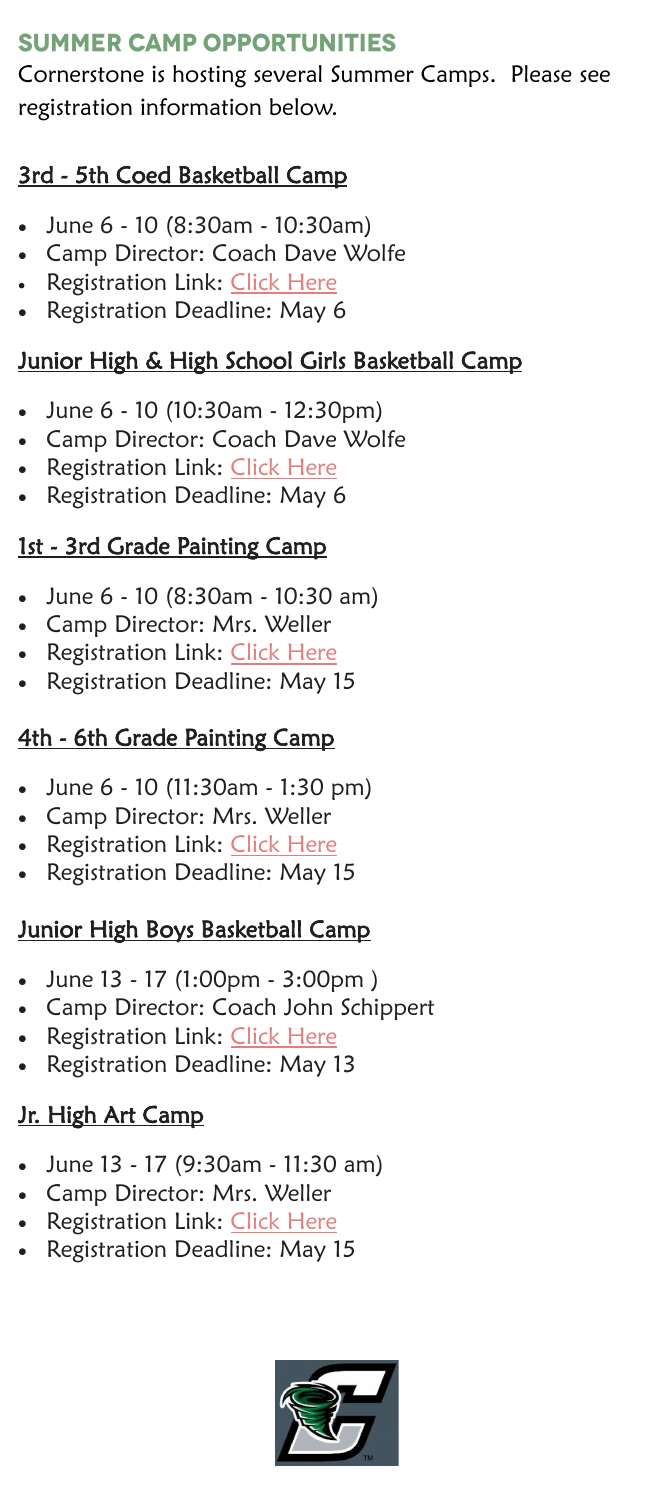## **SUMMER CAMP OPPORTUNITIES**

Cornerstone is hosting several Summer Camps. Please see registration information below.

## 3rd - 5th Coed Basketball Camp

- June 6 10 (8:30am 10:30am)
- Camp Director: Coach Dave Wolfe
- Registration Link: [Click Here](https://link.edgepilot.com/s/5cf59b15/Y4bqptRcq0Cx4k1OiiH_8w?u=https://cca.8to18.com/dashboard/catalog)
- Registration Deadline: May 6

## Junior High & High School Girls Basketball Camp

- June 6 10 (10:30am 12:30pm)
- Camp Director: Coach Dave Wolfe
- Registration Link: [Click Here](https://link.edgepilot.com/s/5cf59b15/Y4bqptRcq0Cx4k1OiiH_8w?u=https://cca.8to18.com/dashboard/catalog)
- Registration Deadline: May 6

## 1st - 3rd Grade Painting Camp

- June 6 10 (8:30am 10:30 am)
- Camp Director: Mrs. Weller
- Registration Link: [Click Here](https://link.edgepilot.com/s/5cf59b15/Y4bqptRcq0Cx4k1OiiH_8w?u=https://cca.8to18.com/dashboard/catalog)
- Registration Deadline: May 15

#### 4th - 6th Grade Painting Camp

- June 6 10 (11:30am 1:30 pm)
- Camp Director: Mrs. Weller
- Registration Link: [Click Here](https://link.edgepilot.com/s/5cf59b15/Y4bqptRcq0Cx4k1OiiH_8w?u=https://cca.8to18.com/dashboard/catalog)
- Registration Deadline: May 15

## **Junior High Boys Basketball Camp**

- June 13 17 (1:00pm 3:00pm )
- Camp Director: Coach John Schippert
- Registration Link: [Click Here](https://link.edgepilot.com/s/5cf59b15/Y4bqptRcq0Cx4k1OiiH_8w?u=https://cca.8to18.com/dashboard/catalog)
- Registration Deadline: May 13

## Jr. High Art Camp

- June 13 17 (9:30am 11:30 am)
- Camp Director: Mrs. Weller
- Registration Link: [Click Here](https://link.edgepilot.com/s/5cf59b15/Y4bqptRcq0Cx4k1OiiH_8w?u=https://cca.8to18.com/dashboard/catalog)
- Registration Deadline: May 15

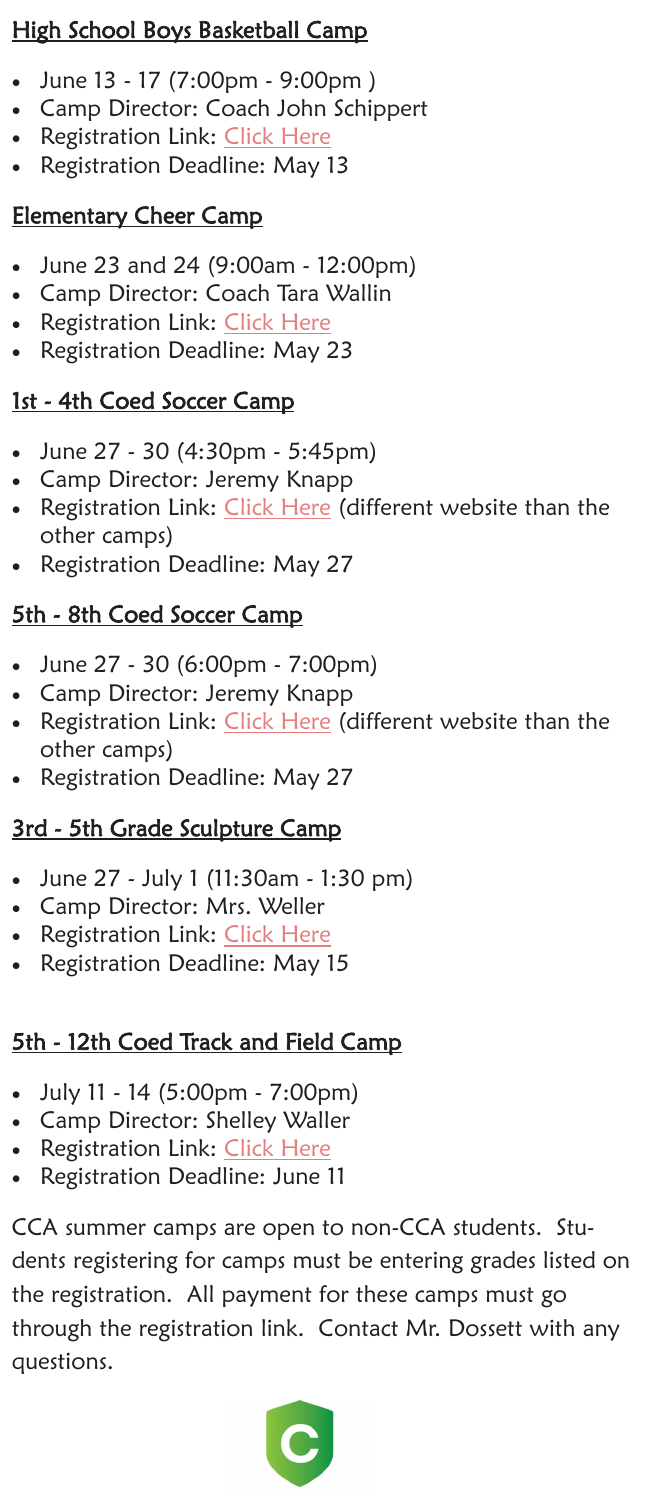## High School Boys Basketball Camp

- June 13 17 (7:00pm 9:00pm )
- Camp Director: Coach John Schippert
- **Registration Link: [Click Here](https://link.edgepilot.com/s/5cf59b15/Y4bqptRcq0Cx4k1OiiH_8w?u=https://cca.8to18.com/dashboard/catalog)**
- Registration Deadline: May 13

## Elementary Cheer Camp

- June 23 and 24 (9:00am 12:00pm)
- Camp Director: Coach Tara Wallin
- **Registration Link: [Click Here](https://link.edgepilot.com/s/5cf59b15/Y4bqptRcq0Cx4k1OiiH_8w?u=https://cca.8to18.com/dashboard/catalog)**
- Registration Deadline: May 23

## 1st - 4th Coed Soccer Camp

- June 27 30 (4:30pm 5:45pm)
- Camp Director: Jeremy Knapp
- Registration Link: [Click Here](https://link.edgepilot.com/s/a458a743/B7WjwBdVpE6YtD9C552KcQ?u=https://register.ryzer.com/camp.cfm?id=214856) (different website than the other camps)
- Registration Deadline: May 27

## 5th - 8th Coed Soccer Camp

- June 27 30 (6:00pm 7:00pm)
- Camp Director: Jeremy Knapp
- Registration Link: [Click Here](https://link.edgepilot.com/s/88b48d3e/fxT7XWleDUaNxPbrDhGFXA?u=https://register.ryzer.com/camp.cfm?id=214855) (different website than the other camps)
- Registration Deadline: May 27

## 3rd - 5th Grade Sculpture Camp

- June 27 July 1 (11:30am 1:30 pm)
- Camp Director: Mrs. Weller
- **Registration Link: <u>[Click Here](https://link.edgepilot.com/s/5cf59b15/Y4bqptRcq0Cx4k1OiiH_8w?u=https://cca.8to18.com/dashboard/catalog)</u>**
- Registration Deadline: May 15

# 5th - 12th Coed Track and Field Camp

- July 11 14 (5:00pm 7:00pm)
- Camp Director: Shelley Waller
- Registration Link: [Click Here](https://link.edgepilot.com/s/5cf59b15/Y4bqptRcq0Cx4k1OiiH_8w?u=https://cca.8to18.com/dashboard/catalog)
- Registration Deadline: June 11

CCA summer camps are open to non-CCA students. Students registering for camps must be entering grades listed on the registration. All payment for these camps must go through the registration link. Contact Mr. Dossett with any questions.